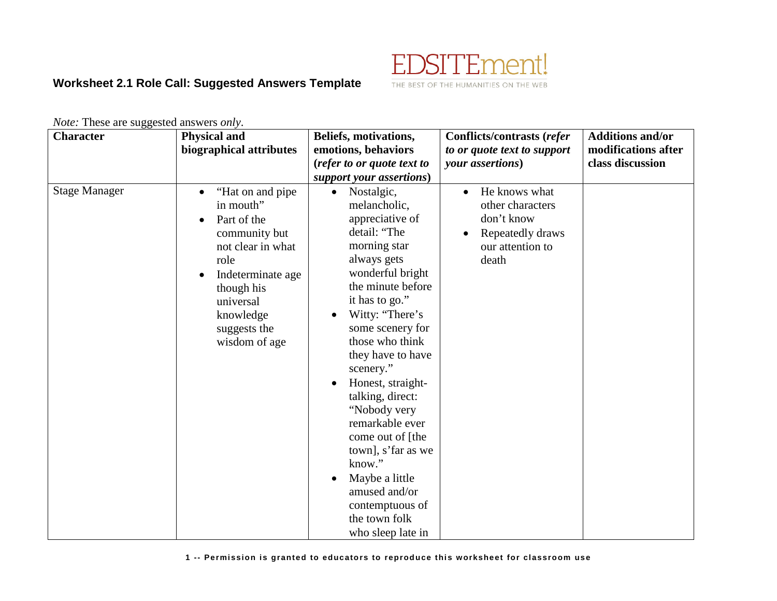

## **Worksheet 2.1 Role Call: Suggested Answers Template**

*Note:* These are suggested answers *only*.

| <b>Character</b>     | <b>Physical and</b><br>biographical attributes                                                                                                                                            | Beliefs, motivations,<br>emotions, behaviors                                                                                                                                                                                                                                                                                                                                                                                                                                                 | <b>Conflicts/contrasts (refer</b><br>to or quote text to support                                 | <b>Additions and/or</b><br>modifications after |
|----------------------|-------------------------------------------------------------------------------------------------------------------------------------------------------------------------------------------|----------------------------------------------------------------------------------------------------------------------------------------------------------------------------------------------------------------------------------------------------------------------------------------------------------------------------------------------------------------------------------------------------------------------------------------------------------------------------------------------|--------------------------------------------------------------------------------------------------|------------------------------------------------|
|                      |                                                                                                                                                                                           | (refer to or quote text to                                                                                                                                                                                                                                                                                                                                                                                                                                                                   | your assertions)                                                                                 | class discussion                               |
|                      |                                                                                                                                                                                           | support your assertions)                                                                                                                                                                                                                                                                                                                                                                                                                                                                     |                                                                                                  |                                                |
| <b>Stage Manager</b> | "Hat on and pipe"<br>in mouth"<br>Part of the<br>community but<br>not clear in what<br>role<br>Indeterminate age<br>though his<br>universal<br>knowledge<br>suggests the<br>wisdom of age | Nostalgic,<br>$\bullet$<br>melancholic,<br>appreciative of<br>detail: "The<br>morning star<br>always gets<br>wonderful bright<br>the minute before<br>it has to go."<br>Witty: "There's<br>some scenery for<br>those who think<br>they have to have<br>scenery."<br>Honest, straight-<br>talking, direct:<br>"Nobody very<br>remarkable ever<br>come out of [the<br>town], s'far as we<br>know."<br>Maybe a little<br>amused and/or<br>contemptuous of<br>the town folk<br>who sleep late in | He knows what<br>other characters<br>don't know<br>Repeatedly draws<br>our attention to<br>death |                                                |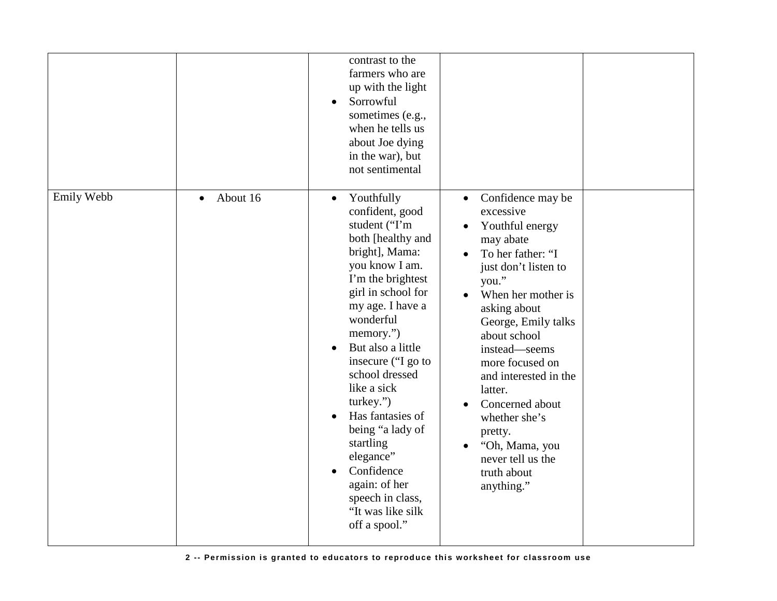|            |                       | contrast to the<br>farmers who are<br>up with the light<br>Sorrowful<br>$\bullet$<br>sometimes (e.g.,<br>when he tells us<br>about Joe dying<br>in the war), but<br>not sentimental                                                                                                                                                                                                                                                                                            |                                                                                                                                                                                                                                                                                                                                                                                                           |  |
|------------|-----------------------|--------------------------------------------------------------------------------------------------------------------------------------------------------------------------------------------------------------------------------------------------------------------------------------------------------------------------------------------------------------------------------------------------------------------------------------------------------------------------------|-----------------------------------------------------------------------------------------------------------------------------------------------------------------------------------------------------------------------------------------------------------------------------------------------------------------------------------------------------------------------------------------------------------|--|
| Emily Webb | About 16<br>$\bullet$ | Youthfully<br>$\bullet$<br>confident, good<br>student ("I'm<br>both [healthy and<br>bright], Mama:<br>you know I am.<br>I'm the brightest<br>girl in school for<br>my age. I have a<br>wonderful<br>memory.")<br>But also a little<br>$\bullet$<br>insecure ("I go to<br>school dressed<br>like a sick<br>turkey.")<br>Has fantasies of<br>being "a lady of<br>startling<br>elegance"<br>Confidence<br>again: of her<br>speech in class,<br>"It was like silk<br>off a spool." | Confidence may be<br>$\bullet$<br>excessive<br>Youthful energy<br>may abate<br>To her father: "I<br>just don't listen to<br>you."<br>When her mother is<br>asking about<br>George, Emily talks<br>about school<br>instead—seems<br>more focused on<br>and interested in the<br>latter.<br>Concerned about<br>whether she's<br>pretty.<br>"Oh, Mama, you<br>never tell us the<br>truth about<br>anything." |  |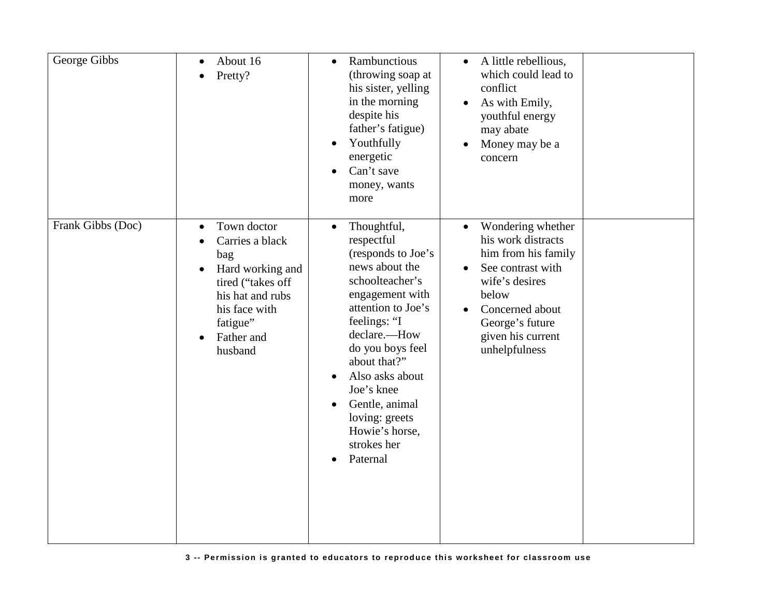| George Gibbs      | About 16<br>Pretty?                                                                                                                                                   | Rambunctious<br>$\bullet$<br>(throwing soap at<br>his sister, yelling<br>in the morning<br>despite his<br>father's fatigue)<br>Youthfully<br>$\bullet$<br>energetic<br>Can't save<br>money, wants<br>more                                                                                                                                     | A little rebellious,<br>$\bullet$<br>which could lead to<br>conflict<br>As with Emily,<br>$\bullet$<br>youthful energy<br>may abate<br>Money may be a<br>concern                                        |
|-------------------|-----------------------------------------------------------------------------------------------------------------------------------------------------------------------|-----------------------------------------------------------------------------------------------------------------------------------------------------------------------------------------------------------------------------------------------------------------------------------------------------------------------------------------------|---------------------------------------------------------------------------------------------------------------------------------------------------------------------------------------------------------|
| Frank Gibbs (Doc) | Town doctor<br>$\bullet$<br>Carries a black<br>bag<br>Hard working and<br>tired ("takes off<br>his hat and rubs<br>his face with<br>fatigue"<br>Father and<br>husband | Thoughtful,<br>$\bullet$<br>respectful<br>(responds to Joe's<br>news about the<br>schoolteacher's<br>engagement with<br>attention to Joe's<br>feelings: "I<br>declare.-How<br>do you boys feel<br>about that?"<br>Also asks about<br>Joe's knee<br>Gentle, animal<br>loving: greets<br>Howie's horse,<br>strokes her<br>Paternal<br>$\bullet$ | Wondering whether<br>$\bullet$<br>his work distracts<br>him from his family<br>See contrast with<br>wife's desires<br>below<br>Concerned about<br>George's future<br>given his current<br>unhelpfulness |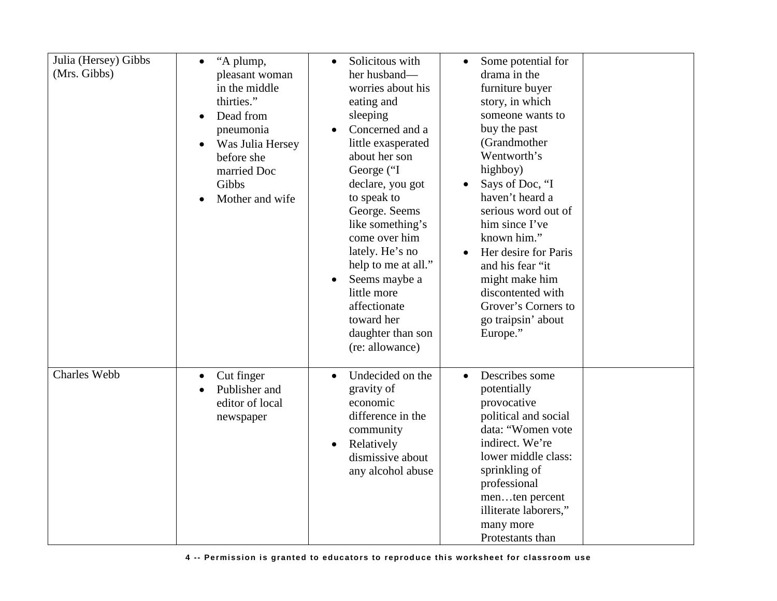| Julia (Hersey) Gibbs<br>(Mrs. Gibbs) | "A plump,<br>$\bullet$<br>pleasant woman<br>in the middle<br>thirties."<br>Dead from<br>$\bullet$<br>pneumonia<br>Was Julia Hersey<br>$\bullet$<br>before she<br>married Doc<br>Gibbs<br>Mother and wife | Solicitous with<br>$\bullet$<br>her husband-<br>worries about his<br>eating and<br>sleeping<br>Concerned and a<br>$\bullet$<br>little exasperated<br>about her son<br>George ("I<br>declare, you got<br>to speak to<br>George. Seems<br>like something's<br>come over him<br>lately. He's no<br>help to me at all."<br>Seems maybe a<br>little more<br>affectionate<br>toward her<br>daughter than son<br>(re: allowance) | Some potential for<br>drama in the<br>furniture buyer<br>story, in which<br>someone wants to<br>buy the past<br>(Grandmother<br>Wentworth's<br>highboy)<br>Says of Doc, "I<br>haven't heard a<br>serious word out of<br>him since I've<br>known him."<br>Her desire for Paris<br>and his fear "it<br>might make him<br>discontented with<br>Grover's Corners to<br>go traipsin' about<br>Europe." |
|--------------------------------------|----------------------------------------------------------------------------------------------------------------------------------------------------------------------------------------------------------|---------------------------------------------------------------------------------------------------------------------------------------------------------------------------------------------------------------------------------------------------------------------------------------------------------------------------------------------------------------------------------------------------------------------------|---------------------------------------------------------------------------------------------------------------------------------------------------------------------------------------------------------------------------------------------------------------------------------------------------------------------------------------------------------------------------------------------------|
| Charles Webb                         | Cut finger<br>$\bullet$<br>Publisher and<br>editor of local<br>newspaper                                                                                                                                 | Undecided on the<br>gravity of<br>economic<br>difference in the<br>community<br>Relatively<br>$\bullet$<br>dismissive about<br>any alcohol abuse                                                                                                                                                                                                                                                                          | Describes some<br>potentially<br>provocative<br>political and social<br>data: "Women vote<br>indirect. We're<br>lower middle class:<br>sprinkling of<br>professional<br>menten percent<br>illiterate laborers,"<br>many more<br>Protestants than                                                                                                                                                  |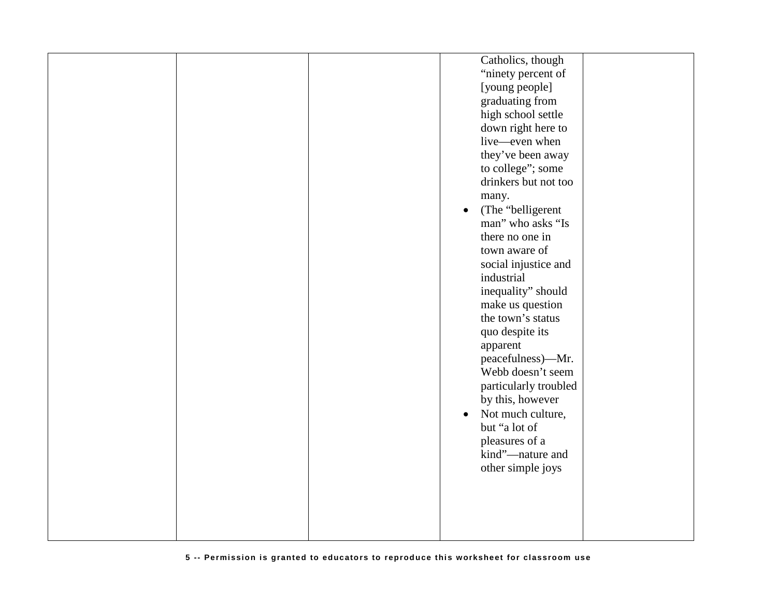|  |            | Catholics, though     |  |
|--|------------|-----------------------|--|
|  |            | "ninety percent of    |  |
|  |            | [young people]        |  |
|  |            | graduating from       |  |
|  |            | high school settle    |  |
|  |            | down right here to    |  |
|  |            | live—even when        |  |
|  |            | they've been away     |  |
|  |            | to college"; some     |  |
|  |            | drinkers but not too  |  |
|  | many.      |                       |  |
|  |            | (The "belligerent"    |  |
|  |            | man" who asks "Is     |  |
|  |            | there no one in       |  |
|  |            | town aware of         |  |
|  |            | social injustice and  |  |
|  | industrial |                       |  |
|  |            | inequality" should    |  |
|  |            | make us question      |  |
|  |            | the town's status     |  |
|  |            | quo despite its       |  |
|  | apparent   |                       |  |
|  |            | peacefulness)—Mr.     |  |
|  |            | Webb doesn't seem     |  |
|  |            | particularly troubled |  |
|  |            | by this, however      |  |
|  | $\bullet$  | Not much culture,     |  |
|  |            | but "a lot of         |  |
|  |            | pleasures of a        |  |
|  |            | kind"-nature and      |  |
|  |            | other simple joys     |  |
|  |            |                       |  |
|  |            |                       |  |
|  |            |                       |  |
|  |            |                       |  |
|  |            |                       |  |